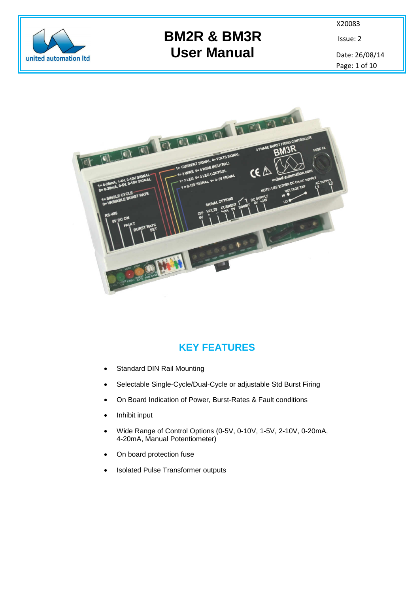

# **BM2R & BM3R** Issue: 2 User Manual Date: 26/08/14

X20083

Page: 1 of 10



### **KEY FEATURES**

- Standard DIN Rail Mounting
- Selectable Single-Cycle/Dual-Cycle or adjustable Std Burst Firing
- On Board Indication of Power, Burst-Rates & Fault conditions
- Inhibit input
- Wide Range of Control Options (0-5V, 0-10V, 1-5V, 2-10V, 0-20mA, 4-20mA, Manual Potentiometer)
- On board protection fuse
- Isolated Pulse Transformer outputs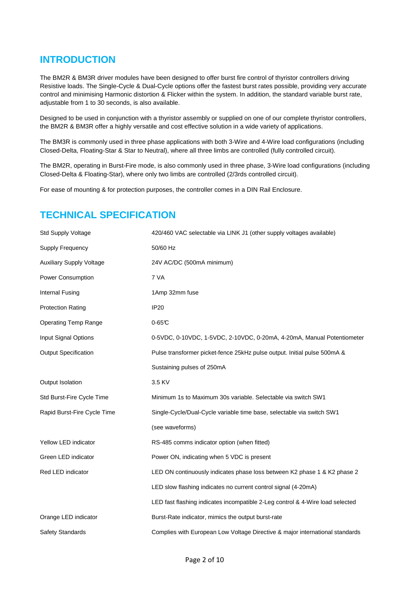### **INTRODUCTION**

The BM2R & BM3R driver modules have been designed to offer burst fire control of thyristor controllers driving Resistive loads. The Single-Cycle & Dual-Cycle options offer the fastest burst rates possible, providing very accurate control and minimising Harmonic distortion & Flicker within the system. In addition, the standard variable burst rate, adjustable from 1 to 30 seconds, is also available.

Designed to be used in conjunction with a thyristor assembly or supplied on one of our complete thyristor controllers, the BM2R & BM3R offer a highly versatile and cost effective solution in a wide variety of applications.

The BM3R is commonly used in three phase applications with both 3-Wire and 4-Wire load configurations (including Closed-Delta, Floating-Star & Star to Neutral), where all three limbs are controlled (fully controlled circuit).

The BM2R, operating in Burst-Fire mode, is also commonly used in three phase, 3-Wire load configurations (including Closed-Delta & Floating-Star), where only two limbs are controlled (2/3rds controlled circuit).

For ease of mounting & for protection purposes, the controller comes in a DIN Rail Enclosure.

### **TECHNICAL SPECIFICATION**

| Std Supply Voltage              | 420/460 VAC selectable via LINK J1 (other supply voltages available)          |
|---------------------------------|-------------------------------------------------------------------------------|
| Supply Frequency                | 50/60 Hz                                                                      |
| <b>Auxiliary Supply Voltage</b> | 24V AC/DC (500mA minimum)                                                     |
| Power Consumption               | 7 VA                                                                          |
| Internal Fusing                 | 1Amp 32mm fuse                                                                |
| <b>Protection Rating</b>        | <b>IP20</b>                                                                   |
| <b>Operating Temp Range</b>     | $0-65C$                                                                       |
| Input Signal Options            | 0-5VDC, 0-10VDC, 1-5VDC, 2-10VDC, 0-20mA, 4-20mA, Manual Potentiometer        |
| <b>Output Specification</b>     | Pulse transformer picket-fence 25kHz pulse output. Initial pulse 500mA &      |
|                                 | Sustaining pulses of 250mA                                                    |
| Output Isolation                | 3.5 KV                                                                        |
| Std Burst-Fire Cycle Time       | Minimum 1s to Maximum 30s variable. Selectable via switch SW1                 |
| Rapid Burst-Fire Cycle Time     | Single-Cycle/Dual-Cycle variable time base, selectable via switch SW1         |
|                                 | (see waveforms)                                                               |
| Yellow LED indicator            | RS-485 comms indicator option (when fitted)                                   |
| Green LED indicator             | Power ON, indicating when 5 VDC is present                                    |
| Red LED indicator               | LED ON continuously indicates phase loss between K2 phase 1 & K2 phase 2      |
|                                 | LED slow flashing indicates no current control signal (4-20mA)                |
|                                 | LED fast flashing indicates incompatible 2-Leg control & 4-Wire load selected |
| Orange LED indicator            | Burst-Rate indicator, mimics the output burst-rate                            |
| Safety Standards                | Complies with European Low Voltage Directive & major international standards  |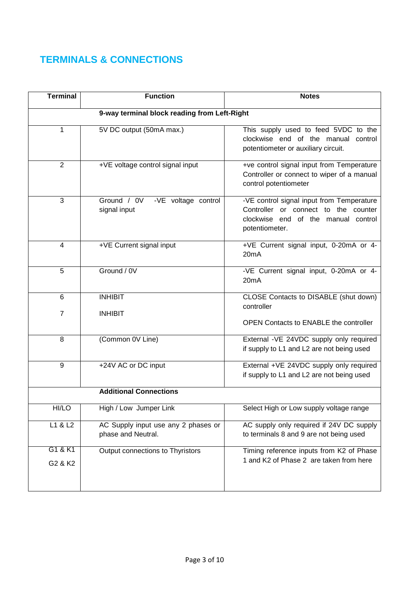# **TERMINALS & CONNECTIONS**

| <b>Terminal</b>         | <b>Function</b>                                           | <b>Notes</b>                                                                                                                               |  |  |  |  |
|-------------------------|-----------------------------------------------------------|--------------------------------------------------------------------------------------------------------------------------------------------|--|--|--|--|
|                         | 9-way terminal block reading from Left-Right              |                                                                                                                                            |  |  |  |  |
| 1                       | 5V DC output (50mA max.)                                  | This supply used to feed 5VDC to the<br>clockwise end of the manual control<br>potentiometer or auxiliary circuit.                         |  |  |  |  |
| $\overline{2}$          | +VE voltage control signal input                          | +ve control signal input from Temperature<br>Controller or connect to wiper of a manual<br>control potentiometer                           |  |  |  |  |
| 3                       | Ground / 0V<br>-VE voltage control<br>signal input        | -VE control signal input from Temperature<br>Controller or connect to the counter<br>clockwise end of the manual control<br>potentiometer. |  |  |  |  |
| $\overline{\mathbf{4}}$ | +VE Current signal input                                  | +VE Current signal input, 0-20mA or 4-<br>20 <sub>m</sub> A                                                                                |  |  |  |  |
| 5                       | Ground / 0V                                               | -VE Current signal input, 0-20mA or 4-<br>20 <sub>m</sub> A                                                                                |  |  |  |  |
| 6                       | <b>INHIBIT</b>                                            | CLOSE Contacts to DISABLE (shut down)                                                                                                      |  |  |  |  |
| $\overline{7}$          | <b>INHIBIT</b>                                            | controller<br><b>OPEN Contacts to ENABLE the controller</b>                                                                                |  |  |  |  |
| 8                       | (Common 0V Line)                                          | External -VE 24VDC supply only required<br>if supply to L1 and L2 are not being used                                                       |  |  |  |  |
| 9                       | +24V AC or DC input                                       | External +VE 24VDC supply only required<br>if supply to L1 and L2 are not being used                                                       |  |  |  |  |
|                         | <b>Additional Connections</b>                             |                                                                                                                                            |  |  |  |  |
| HI/LO                   | High / Low Jumper Link                                    | Select High or Low supply voltage range                                                                                                    |  |  |  |  |
| L1 & L2                 | AC Supply input use any 2 phases or<br>phase and Neutral. | AC supply only required if 24V DC supply<br>to terminals 8 and 9 are not being used                                                        |  |  |  |  |
| G1 & K1                 | Output connections to Thyristors                          | Timing reference inputs from K2 of Phase                                                                                                   |  |  |  |  |
| G2 & K2                 |                                                           | 1 and K2 of Phase 2 are taken from here                                                                                                    |  |  |  |  |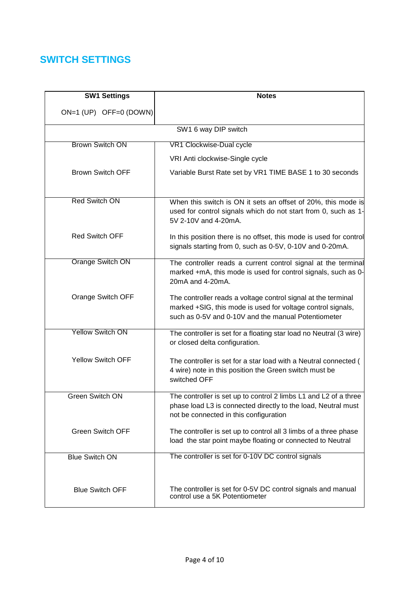## **SWITCH SETTINGS**

| <b>SW1 Settings</b>      | <b>Notes</b>                                                                                                                                                                        |  |  |
|--------------------------|-------------------------------------------------------------------------------------------------------------------------------------------------------------------------------------|--|--|
| ON=1 (UP) OFF=0 (DOWN)   |                                                                                                                                                                                     |  |  |
| SW1 6 way DIP switch     |                                                                                                                                                                                     |  |  |
| <b>Brown Switch ON</b>   | VR1 Clockwise-Dual cycle                                                                                                                                                            |  |  |
|                          | VRI Anti clockwise-Single cycle                                                                                                                                                     |  |  |
| <b>Brown Switch OFF</b>  | Variable Burst Rate set by VR1 TIME BASE 1 to 30 seconds                                                                                                                            |  |  |
| <b>Red Switch ON</b>     | When this switch is ON it sets an offset of 20%, this mode is<br>used for control signals which do not start from 0, such as 1-<br>5V 2-10V and 4-20mA.                             |  |  |
| <b>Red Switch OFF</b>    | In this position there is no offset, this mode is used for control<br>signals starting from 0, such as 0-5V, 0-10V and 0-20mA.                                                      |  |  |
| <b>Orange Switch ON</b>  | The controller reads a current control signal at the terminal<br>marked +mA, this mode is used for control signals, such as 0-<br>20mA and 4-20mA.                                  |  |  |
| Orange Switch OFF        | The controller reads a voltage control signal at the terminal<br>marked +SIG, this mode is used for voltage control signals,<br>such as 0-5V and 0-10V and the manual Potentiometer |  |  |
| <b>Yellow Switch ON</b>  | The controller is set for a floating star load no Neutral (3 wire)<br>or closed delta configuration.                                                                                |  |  |
| <b>Yellow Switch OFF</b> | The controller is set for a star load with a Neutral connected (<br>4 wire) note in this position the Green switch must be<br>switched OFF                                          |  |  |
| <b>Green Switch ON</b>   | The controller is set up to control 2 limbs L1 and L2 of a three<br>phase load L3 is connected directly to the load, Neutral must<br>not be connected in this configuration         |  |  |
| <b>Green Switch OFF</b>  | The controller is set up to control all 3 limbs of a three phase<br>load the star point maybe floating or connected to Neutral                                                      |  |  |
| <b>Blue Switch ON</b>    | The controller is set for 0-10V DC control signals                                                                                                                                  |  |  |
| <b>Blue Switch OFF</b>   | The controller is set for 0-5V DC control signals and manual<br>control use a 5K Potentiometer                                                                                      |  |  |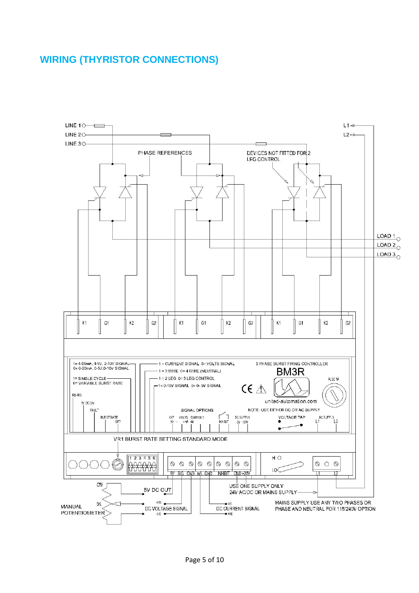### **WIRING (THYRISTOR CONNECTIONS)**

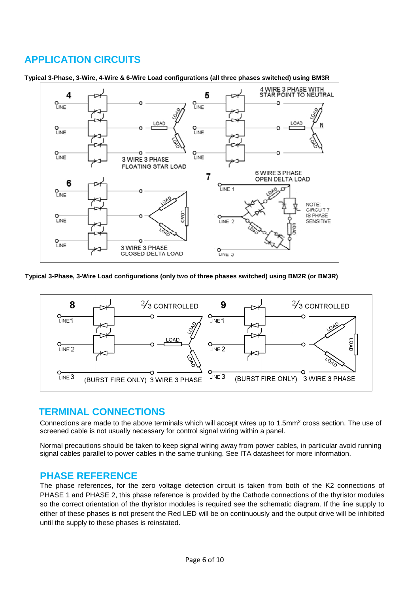### **APPLICATION CIRCUITS**



**Typical 3-Phase, 3-Wire, 4-Wire & 6-Wire Load configurations (all three phases switched) using BM3R**

**Typical 3-Phase, 3-Wire Load configurations (only two of three phases switched) using BM2R (or BM3R)**



#### **TERMINAL CONNECTIONS**

Connections are made to the above terminals which will accept wires up to 1.5mm<sup>2</sup> cross section. The use of screened cable is not usually necessary for control signal wiring within a panel.

Normal precautions should be taken to keep signal wiring away from power cables, in particular avoid running signal cables parallel to power cables in the same trunking. See ITA datasheet for more information.

#### **PHASE REFERENCE**

The phase references, for the zero voltage detection circuit is taken from both of the K2 connections of PHASE 1 and PHASE 2, this phase reference is provided by the Cathode connections of the thyristor modules so the correct orientation of the thyristor modules is required see the schematic diagram. If the line supply to either of these phases is not present the Red LED will be on continuously and the output drive will be inhibited until the supply to these phases is reinstated.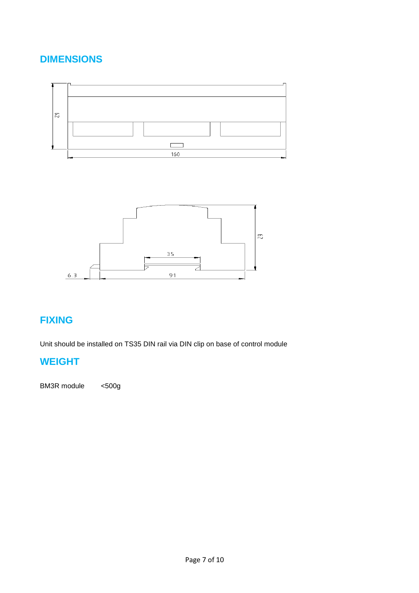# **DIMENSIONS**





# **FIXING**

Unit should be installed on TS35 DIN rail via DIN clip on base of control module

# **WEIGHT**

BM3R module <500g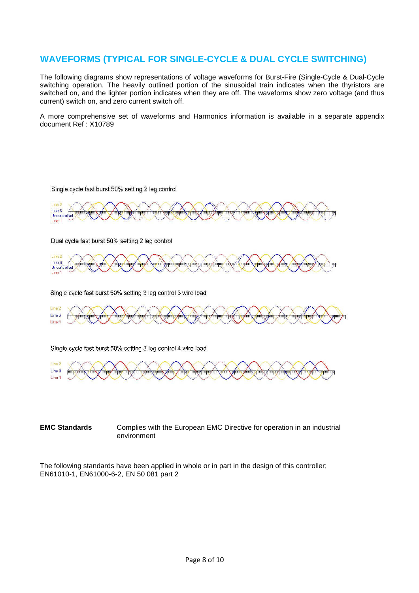#### **WAVEFORMS (TYPICAL FOR SINGLE-CYCLE & DUAL CYCLE SWITCHING)**

The following diagrams show representations of voltage waveforms for Burst-Fire (Single-Cycle & Dual-Cycle switching operation. The heavily outlined portion of the sinusoidal train indicates when the thyristors are switched on, and the lighter portion indicates when they are off. The waveforms show zero voltage (and thus current) switch on, and zero current switch off.

A more comprehensive set of waveforms and Harmonics information is available in a separate appendix document Ref : X10789





Single cycle fast burst 50% setting 3 leg control 4 wire load



#### **EMC Standards** Complies with the European EMC Directive for operation in an industrial environment

The following standards have been applied in whole or in part in the design of this controller; EN61010-1, EN61000-6-2, EN 50 081 part 2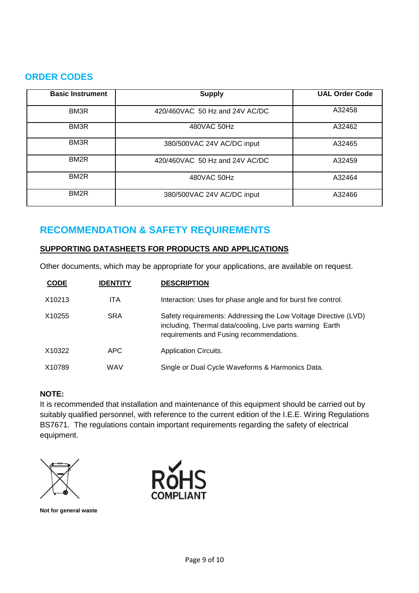#### **ORDER CODES**

| <b>Basic Instrument</b> | <b>Supply</b>                  | <b>UAL Order Code</b> |
|-------------------------|--------------------------------|-----------------------|
| BM <sub>3</sub> R       | 420/460VAC 50 Hz and 24V AC/DC | A32458                |
| BM <sub>3</sub> R       | 480VAC 50Hz                    | A32462                |
| BM <sub>3</sub> R       | 380/500VAC 24V AC/DC input     | A32465                |
| BM <sub>2R</sub>        | 420/460VAC 50 Hz and 24V AC/DC | A32459                |
| BM <sub>2R</sub>        | 480VAC 50Hz                    | A32464                |
| BM <sub>2R</sub>        | 380/500VAC 24V AC/DC input     | A32466                |

# **RECOMMENDATION & SAFETY REQUIREMENTS**

#### **SUPPORTING DATASHEETS FOR PRODUCTS AND APPLICATIONS**

Other documents, which may be appropriate for your applications, are available on request.

| <b>CODE</b> | <b>IDENTITY</b> | <b>DESCRIPTION</b>                                                                                                                                                       |
|-------------|-----------------|--------------------------------------------------------------------------------------------------------------------------------------------------------------------------|
| X10213      | <b>ITA</b>      | Interaction: Uses for phase angle and for burst fire control.                                                                                                            |
| X10255      | <b>SRA</b>      | Safety requirements: Addressing the Low Voltage Directive (LVD)<br>including, Thermal data/cooling, Live parts warning Earth<br>requirements and Fusing recommendations. |
| X10322      | APC.            | <b>Application Circuits.</b>                                                                                                                                             |
| X10789      | WAV             | Single or Dual Cycle Waveforms & Harmonics Data.                                                                                                                         |

#### **NOTE:**

It is recommended that installation and maintenance of this equipment should be carried out by suitably qualified personnel, with reference to the current edition of the I.E.E. Wiring Regulations BS7671. The regulations contain important requirements regarding the safety of electrical equipment.



**Not for general waste**